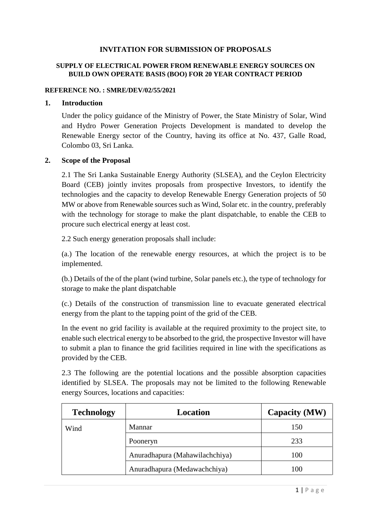# **INVITATION FOR SUBMISSION OF PROPOSALS**

### **SUPPLY OF ELECTRICAL POWER FROM RENEWABLE ENERGY SOURCES ON BUILD OWN OPERATE BASIS (BOO) FOR 20 YEAR CONTRACT PERIOD**

#### **REFERENCE NO. : SMRE/DEV/02/55/2021**

#### **1. Introduction**

Under the policy guidance of the Ministry of Power, the State Ministry of Solar, Wind and Hydro Power Generation Projects Development is mandated to develop the Renewable Energy sector of the Country, having its office at No. 437, Galle Road, Colombo 03, Sri Lanka.

### **2. Scope of the Proposal**

2.1 The Sri Lanka Sustainable Energy Authority (SLSEA), and the Ceylon Electricity Board (CEB) jointly invites proposals from prospective Investors, to identify the technologies and the capacity to develop Renewable Energy Generation projects of 50 MW or above from Renewable sources such as Wind, Solar etc. in the country, preferably with the technology for storage to make the plant dispatchable, to enable the CEB to procure such electrical energy at least cost.

2.2 Such energy generation proposals shall include:

(a.) The location of the renewable energy resources, at which the project is to be implemented.

(b.) Details of the of the plant (wind turbine, Solar panels etc.), the type of technology for storage to make the plant dispatchable

(c.) Details of the construction of transmission line to evacuate generated electrical energy from the plant to the tapping point of the grid of the CEB.

In the event no grid facility is available at the required proximity to the project site, to enable such electrical energy to be absorbed to the grid, the prospective Investor will have to submit a plan to finance the grid facilities required in line with the specifications as provided by the CEB.

2.3 The following are the potential locations and the possible absorption capacities identified by SLSEA. The proposals may not be limited to the following Renewable energy Sources, locations and capacities:

| <b>Technology</b> | Location                       | <b>Capacity (MW)</b> |
|-------------------|--------------------------------|----------------------|
| Wind              | Mannar                         | 150                  |
|                   | Pooneryn                       | 233                  |
|                   | Anuradhapura (Mahawilachchiya) | 100                  |
|                   | Anuradhapura (Medawachchiya)   | 100                  |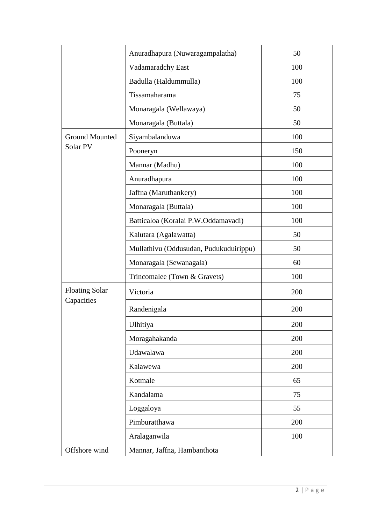|                       | Anuradhapura (Nuwaragampalatha)        | 50  |
|-----------------------|----------------------------------------|-----|
|                       | Vadamaradchy East                      | 100 |
|                       | Badulla (Haldummulla)                  | 100 |
|                       | Tissamaharama                          | 75  |
|                       | Monaragala (Wellawaya)                 | 50  |
|                       | Monaragala (Buttala)                   | 50  |
| <b>Ground Mounted</b> | Siyambalanduwa                         | 100 |
| Solar PV              | Pooneryn                               | 150 |
|                       | Mannar (Madhu)                         | 100 |
|                       | Anuradhapura                           | 100 |
|                       | Jaffna (Maruthankery)                  | 100 |
|                       | Monaragala (Buttala)                   | 100 |
|                       | Batticaloa (Koralai P.W.Oddamavadi)    | 100 |
|                       | Kalutara (Agalawatta)                  | 50  |
|                       | Mullathivu (Oddusudan, Pudukuduirippu) | 50  |
|                       | Monaragala (Sewanagala)                | 60  |
|                       | Trincomalee (Town & Gravets)           | 100 |
| <b>Floating Solar</b> | Victoria                               | 200 |
| Capacities            | Randenigala                            | 200 |
|                       | Ulhitiya                               | 200 |
|                       | Moragahakanda                          | 200 |
|                       | Udawalawa                              | 200 |
|                       | Kalawewa                               | 200 |
|                       | Kotmale                                | 65  |
|                       | Kandalama                              | 75  |
|                       | Loggaloya                              | 55  |
|                       | Pimburatthawa                          | 200 |
|                       | Aralaganwila                           | 100 |
| Offshore wind         | Mannar, Jaffna, Hambanthota            |     |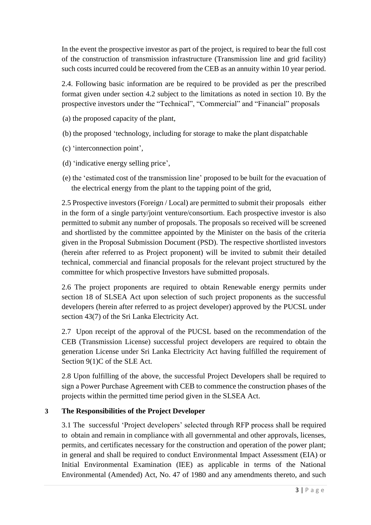In the event the prospective investor as part of the project, is required to bear the full cost of the construction of transmission infrastructure (Transmission line and grid facility) such costs incurred could be recovered from the CEB as an annuity within 10 year period.

2.4. Following basic information are be required to be provided as per the prescribed format given under section 4.2 subject to the limitations as noted in section 10. By the prospective investors under the "Technical", "Commercial" and "Financial" proposals

(a) the proposed capacity of the plant,

- (b) the proposed 'technology, including for storage to make the plant dispatchable
- (c) 'interconnection point',
- (d) 'indicative energy selling price',
- (e) the 'estimated cost of the transmission line' proposed to be built for the evacuation of the electrical energy from the plant to the tapping point of the grid,

2.5 Prospective investors (Foreign / Local) are permitted to submit their proposals either in the form of a single party/joint venture/consortium. Each prospective investor is also permitted to submit any number of proposals. The proposals so received will be screened and shortlisted by the committee appointed by the Minister on the basis of the criteria given in the Proposal Submission Document (PSD). The respective shortlisted investors (herein after referred to as Project proponent) will be invited to submit their detailed technical, commercial and financial proposals for the relevant project structured by the committee for which prospective Investors have submitted proposals.

2.6 The project proponents are required to obtain Renewable energy permits under section 18 of SLSEA Act upon selection of such project proponents as the successful developers (herein after referred to as project developer) approved by the PUCSL under section 43(7) of the Sri Lanka Electricity Act.

2.7 Upon receipt of the approval of the PUCSL based on the recommendation of the CEB (Transmission License) successful project developers are required to obtain the generation License under Sri Lanka Electricity Act having fulfilled the requirement of Section 9(1)C of the SLE Act.

2.8 Upon fulfilling of the above, the successful Project Developers shall be required to sign a Power Purchase Agreement with CEB to commence the construction phases of the projects within the permitted time period given in the SLSEA Act.

# **3 The Responsibilities of the Project Developer**

3.1 The successful 'Project developers' selected through RFP process shall be required to obtain and remain in compliance with all governmental and other approvals, licenses, permits, and certificates necessary for the construction and operation of the power plant; in general and shall be required to conduct Environmental Impact Assessment (EIA) or Initial Environmental Examination (IEE) as applicable in terms of the National Environmental (Amended) Act, No. 47 of 1980 and any amendments thereto, and such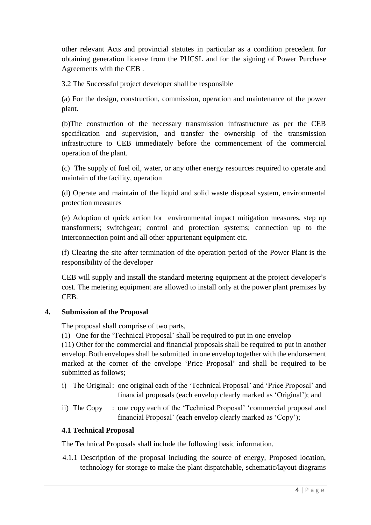other relevant Acts and provincial statutes in particular as a condition precedent for obtaining generation license from the PUCSL and for the signing of Power Purchase Agreements with the CEB .

3.2 The Successful project developer shall be responsible

(a) For the design, construction, commission, operation and maintenance of the power plant.

(b)The construction of the necessary transmission infrastructure as per the CEB specification and supervision, and transfer the ownership of the transmission infrastructure to CEB immediately before the commencement of the commercial operation of the plant.

(c) The supply of fuel oil, water, or any other energy resources required to operate and maintain of the facility, operation

(d) Operate and maintain of the liquid and solid waste disposal system, environmental protection measures

(e) Adoption of quick action for environmental impact mitigation measures, step up transformers; switchgear; control and protection systems; connection up to the interconnection point and all other appurtenant equipment etc.

(f) Clearing the site after termination of the operation period of the Power Plant is the responsibility of the developer

CEB will supply and install the standard metering equipment at the project developer's cost. The metering equipment are allowed to install only at the power plant premises by CEB.

# **4. Submission of the Proposal**

The proposal shall comprise of two parts,

(1) One for the 'Technical Proposal' shall be required to put in one envelop

(11) Other for the commercial and financial proposals shall be required to put in another envelop. Both envelopes shall be submitted in one envelop together with the endorsement marked at the corner of the envelope 'Price Proposal' and shall be required to be submitted as follows;

- i) The Original: one original each of the 'Technical Proposal' and 'Price Proposal' and financial proposals (each envelop clearly marked as 'Original'); and
- ii) The Copy : one copy each of the 'Technical Proposal' 'commercial proposal and financial Proposal' (each envelop clearly marked as 'Copy');

# **4.1 Technical Proposal**

The Technical Proposals shall include the following basic information.

4.1.1 Description of the proposal including the source of energy, Proposed location, technology for storage to make the plant dispatchable, schematic/layout diagrams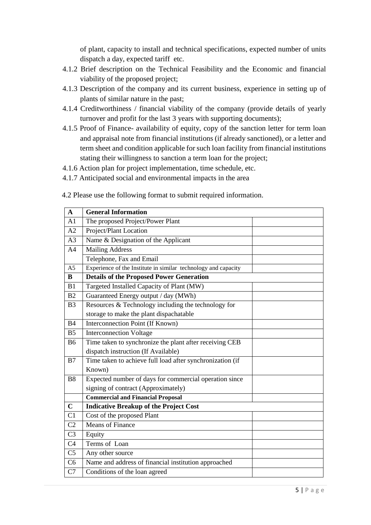of plant, capacity to install and technical specifications, expected number of units dispatch a day, expected tariff etc.

- 4.1.2 Brief description on the Technical Feasibility and the Economic and financial viability of the proposed project;
- 4.1.3 Description of the company and its current business, experience in setting up of plants of similar nature in the past;
- 4.1.4 Creditworthiness / financial viability of the company (provide details of yearly turnover and profit for the last 3 years with supporting documents);
- 4.1.5 Proof of Finance- availability of equity, copy of the sanction letter for term loan and appraisal note from financial institutions (if already sanctioned), or a letter and term sheet and condition applicable for such loan facility from financial institutions stating their willingness to sanction a term loan for the project;
- 4.1.6 Action plan for project implementation, time schedule, etc.
- 4.1.7 Anticipated social and environmental impacts in the area
- 4.2 Please use the following format to submit required information.

| A              | <b>General Information</b>                                     |  |  |
|----------------|----------------------------------------------------------------|--|--|
| A1             | The proposed Project/Power Plant                               |  |  |
| A2             | Project/Plant Location                                         |  |  |
| A <sub>3</sub> | Name & Designation of the Applicant                            |  |  |
| A <sub>4</sub> | <b>Mailing Address</b>                                         |  |  |
|                | Telephone, Fax and Email                                       |  |  |
| A <sub>5</sub> | Experience of the Institute in similar technology and capacity |  |  |
| B              | <b>Details of the Proposed Power Generation</b>                |  |  |
| B1             | Targeted Installed Capacity of Plant (MW)                      |  |  |
| B2             | Guaranteed Energy output / day (MWh)                           |  |  |
| B <sub>3</sub> | Resources & Technology including the technology for            |  |  |
|                | storage to make the plant dispachatable                        |  |  |
| <b>B4</b>      | Interconnection Point (If Known)                               |  |  |
| B <sub>5</sub> | <b>Interconnection Voltage</b>                                 |  |  |
| <b>B6</b>      | Time taken to synchronize the plant after receiving CEB        |  |  |
|                | dispatch instruction (If Available)                            |  |  |
| B7             | Time taken to achieve full load after synchronization (if      |  |  |
|                | Known)                                                         |  |  |
| <b>B8</b>      | Expected number of days for commercial operation since         |  |  |
|                | signing of contract (Approximately)                            |  |  |
|                | <b>Commercial and Financial Proposal</b>                       |  |  |
| $\mathbf C$    | <b>Indicative Breakup of the Project Cost</b>                  |  |  |
| C1             | Cost of the proposed Plant                                     |  |  |
| C <sub>2</sub> | <b>Means of Finance</b>                                        |  |  |
| C <sub>3</sub> | Equity                                                         |  |  |
| C <sub>4</sub> | Terms of Loan                                                  |  |  |
| C <sub>5</sub> | Any other source                                               |  |  |
| C6             | Name and address of financial institution approached           |  |  |
| C7             | Conditions of the loan agreed                                  |  |  |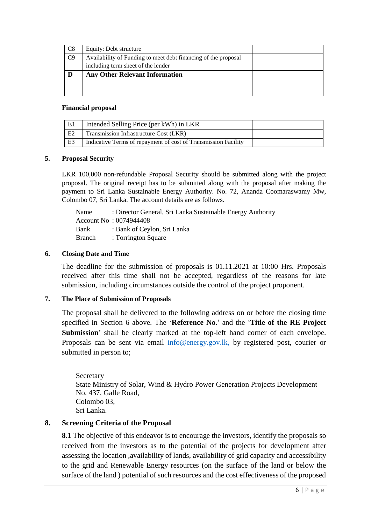| C8 | Equity: Debt structure                                         |  |
|----|----------------------------------------------------------------|--|
| C9 | Availability of Funding to meet debt financing of the proposal |  |
|    | including term sheet of the lender                             |  |
|    | <b>Any Other Relevant Information</b>                          |  |
|    |                                                                |  |
|    |                                                                |  |

#### **Financial proposal**

|                | Intended Selling Price (per kWh) in LKR                        |  |
|----------------|----------------------------------------------------------------|--|
| E2             | Transmission Infrastructure Cost (LKR)                         |  |
| E <sub>3</sub> | Indicative Terms of repayment of cost of Transmission Facility |  |

#### **5. Proposal Security**

 LKR 100,000 non-refundable Proposal Security should be submitted along with the project proposal. The original receipt has to be submitted along with the proposal after making the payment to Sri Lanka Sustainable Energy Authority. No. 72, Ananda Coomaraswamy Mw, Colombo 07, Sri Lanka. The account details are as follows.

Name : Director General, Sri Lanka Sustainable Energy Authority Account No : 0074944408 Bank : Bank of Ceylon, Sri Lanka Branch : Torrington Square

### **6. Closing Date and Time**

The deadline for the submission of proposals is 01.11.2021 at 10:00 Hrs. Proposals received after this time shall not be accepted, regardless of the reasons for late submission, including circumstances outside the control of the project proponent.

### **7. The Place of Submission of Proposals**

The proposal shall be delivered to the following address on or before the closing time specified in Section 6 above. The '**Reference No.**' and the '**Title of the RE Project Submission**' shall be clearly marked at the top-left hand corner of each envelope. Proposals can be sent via email [info@energy.gov.lk,](mailto:info@energy.gov.lk) by registered post, courier or submitted in person to;

**Secretary** State Ministry of Solar, Wind & Hydro Power Generation Projects Development No. 437, Galle Road, Colombo 03, Sri Lanka.

### **8. Screening Criteria of the Proposal**

**8.1** The objective of this endeavor is to encourage the investors, identify the proposals so received from the investors as to the potential of the projects for development after assessing the location ,availability of lands, availability of grid capacity and accessibility to the grid and Renewable Energy resources (on the surface of the land or below the surface of the land ) potential of such resources and the cost effectiveness of the proposed